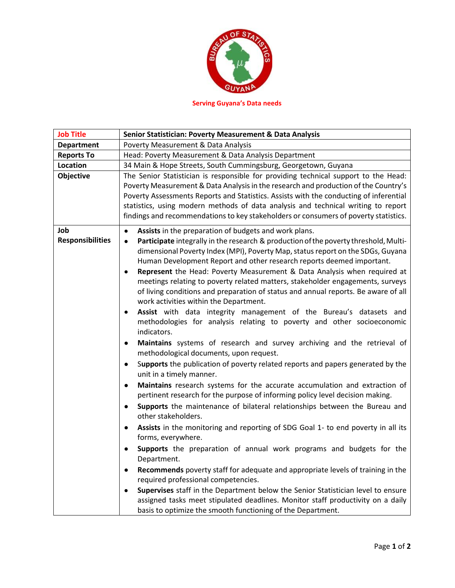

**Serving Guyana's Data needs**

| <b>Job Title</b>               |
|--------------------------------|
| <b>Department</b>              |
| <b>Reports To</b>              |
| Location                       |
| <b>Objective</b>               |
| Job<br><b>Responsibilities</b> |